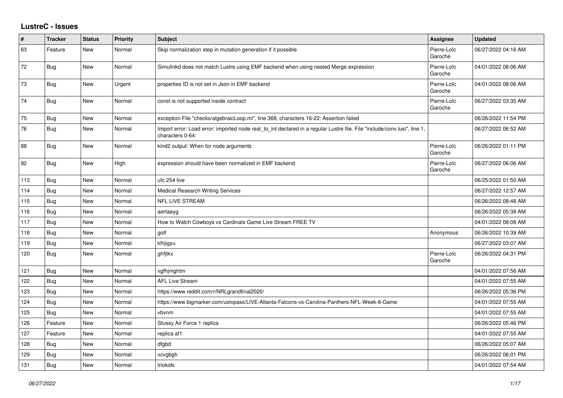## **LustreC - Issues**

| #   | <b>Tracker</b> | <b>Status</b> | Priority | <b>Subject</b>                                                                                                                               | <b>Assignee</b>        | <b>Updated</b>      |
|-----|----------------|---------------|----------|----------------------------------------------------------------------------------------------------------------------------------------------|------------------------|---------------------|
| 63  | Feature        | New           | Normal   | Skip normalization step in mutation generation if it possible                                                                                | Pierre-Loïc<br>Garoche | 06/27/2022 04:16 AM |
| 72  | <b>Bug</b>     | New           | Normal   | Simulinkd does not match Lustre using EMF backend when using nested Merge expression                                                         | Pierre-Loïc<br>Garoche | 04/01/2022 08:06 AM |
| 73  | <b>Bug</b>     | New           | Urgent   | properties ID is not set in Json in EMF backend                                                                                              | Pierre-Loïc<br>Garoche | 04/01/2022 08:06 AM |
| 74  | <b>Bug</b>     | New           | Normal   | const is not supported inside contract                                                                                                       | Pierre-Loïc<br>Garoche | 06/27/2022 03:35 AM |
| 75  | <b>Bug</b>     | New           | Normal   | exception File "checks/algebraicLoop.ml", line 368, characters 16-22: Assertion failed                                                       |                        | 06/26/2022 11:54 PM |
| 76  | <b>Bug</b>     | <b>New</b>    | Normal   | Import error: Load error: imported node real_to_int declared in a regular Lustre file. File "include/conv.lusi", line 1,<br>characters 0-64: |                        | 06/27/2022 06:52 AM |
| 88  | <b>Bug</b>     | New           | Normal   | kind2 output: When for node arguments                                                                                                        | Pierre-Loïc<br>Garoche | 06/26/2022 01:11 PM |
| 92  | Bug            | New           | High     | expression should have been normalized in EMF backend                                                                                        | Pierre-Loïc<br>Garoche | 06/27/2022 06:06 AM |
| 113 | <b>Bug</b>     | New           | Normal   | ufc 254 live                                                                                                                                 |                        | 06/25/2022 01:50 AM |
| 114 | <b>Bug</b>     | New           | Normal   | <b>Medical Research Writing Services</b>                                                                                                     |                        | 06/27/2022 12:57 AM |
| 115 | <b>Bug</b>     | New           | Normal   | NFL LIVE STREAM                                                                                                                              |                        | 06/26/2022 08:48 AM |
| 116 | Bug            | <b>New</b>    | Normal   | aertaeyg                                                                                                                                     |                        | 06/26/2022 05:38 AM |
| 117 | <b>Bug</b>     | New           | Normal   | How to Watch Cowboys vs Cardinals Game Live Stream FREE TV                                                                                   |                        | 04/01/2022 08:08 AM |
| 118 | <b>Bug</b>     | New           | Normal   | golf                                                                                                                                         | Anonymous              | 06/26/2022 10:39 AM |
| 119 | Bug            | New           | Normal   | klhjigyu                                                                                                                                     |                        | 06/27/2022 03:07 AM |
| 120 | Bug            | <b>New</b>    | Normal   | ghfitkx                                                                                                                                      | Pierre-Loïc<br>Garoche | 06/26/2022 04:31 PM |
| 121 | <b>Bug</b>     | New           | Normal   | xgfhjmghtm                                                                                                                                   |                        | 04/01/2022 07:56 AM |
| 122 | Bug            | New           | Normal   | <b>AFL Live Stream</b>                                                                                                                       |                        | 04/01/2022 07:55 AM |
| 123 | <b>Bug</b>     | <b>New</b>    | Normal   | https://www.reddit.com/r/NRLgrandfinal2020/                                                                                                  |                        | 06/26/2022 05:36 PM |
| 124 | <b>Bug</b>     | New           | Normal   | https://www.bigmarker.com/ustvpass/LIVE-Atlanta-Falcons-vs-Carolina-Panthers-NFL-Week-8-Game                                                 |                        | 04/01/2022 07:55 AM |
| 125 | Bug            | New           | Normal   | vbvnm                                                                                                                                        |                        | 04/01/2022 07:55 AM |
| 126 | Feature        | New           | Normal   | Stussy Air Force 1 replica                                                                                                                   |                        | 06/26/2022 05:46 PM |
| 127 | Feature        | New           | Normal   | replica af1                                                                                                                                  |                        | 04/01/2022 07:55 AM |
| 128 | Bug            | <b>New</b>    | Normal   | dfabd                                                                                                                                        |                        | 06/26/2022 05:07 AM |
| 129 | <b>Bug</b>     | New           | Normal   | xcvgbgh                                                                                                                                      |                        | 06/26/2022 06:01 PM |
| 131 | Bug            | New           | Normal   | triokids                                                                                                                                     |                        | 04/01/2022 07:54 AM |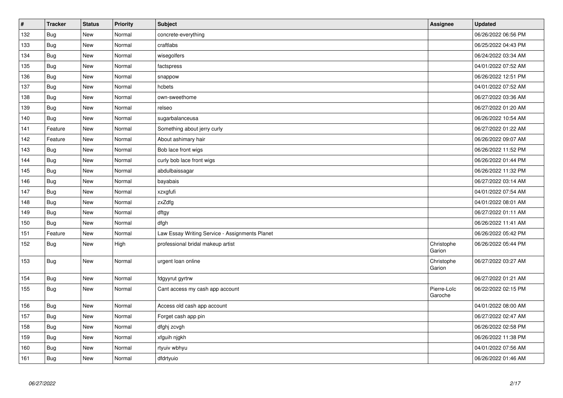| $\vert$ # | <b>Tracker</b> | <b>Status</b> | <b>Priority</b> | <b>Subject</b>                                 | <b>Assignee</b>        | <b>Updated</b>      |
|-----------|----------------|---------------|-----------------|------------------------------------------------|------------------------|---------------------|
| 132       | Bug            | New           | Normal          | concrete-everything                            |                        | 06/26/2022 06:56 PM |
| 133       | <b>Bug</b>     | <b>New</b>    | Normal          | craftlabs                                      |                        | 06/25/2022 04:43 PM |
| 134       | Bug            | New           | Normal          | wisegolfers                                    |                        | 06/24/2022 03:34 AM |
| 135       | Bug            | New           | Normal          | factspress                                     |                        | 04/01/2022 07:52 AM |
| 136       | Bug            | New           | Normal          | snappow                                        |                        | 06/26/2022 12:51 PM |
| 137       | <b>Bug</b>     | New           | Normal          | hcbets                                         |                        | 04/01/2022 07:52 AM |
| 138       | Bug            | New           | Normal          | own-sweethome                                  |                        | 06/27/2022 03:36 AM |
| 139       | Bug            | New           | Normal          | relseo                                         |                        | 06/27/2022 01:20 AM |
| 140       | <b>Bug</b>     | New           | Normal          | sugarbalanceusa                                |                        | 06/26/2022 10:54 AM |
| 141       | Feature        | New           | Normal          | Something about jerry curly                    |                        | 06/27/2022 01:22 AM |
| 142       | Feature        | New           | Normal          | About ashimary hair                            |                        | 06/26/2022 09:07 AM |
| 143       | Bug            | New           | Normal          | Bob lace front wigs                            |                        | 06/26/2022 11:52 PM |
| 144       | <b>Bug</b>     | New           | Normal          | curly bob lace front wigs                      |                        | 06/26/2022 01:44 PM |
| 145       | Bug            | New           | Normal          | abdulbaissagar                                 |                        | 06/26/2022 11:32 PM |
| 146       | <b>Bug</b>     | New           | Normal          | bayabais                                       |                        | 06/27/2022 03:14 AM |
| 147       | Bug            | <b>New</b>    | Normal          | xzxgfufi                                       |                        | 04/01/2022 07:54 AM |
| 148       | <b>Bug</b>     | New           | Normal          | zxZdfg                                         |                        | 04/01/2022 08:01 AM |
| 149       | <b>Bug</b>     | New           | Normal          | dftgy                                          |                        | 06/27/2022 01:11 AM |
| 150       | Bug            | New           | Normal          | dfgh                                           |                        | 06/26/2022 11:41 AM |
| 151       | Feature        | New           | Normal          | Law Essay Writing Service - Assignments Planet |                        | 06/26/2022 05:42 PM |
| 152       | <b>Bug</b>     | New           | High            | professional bridal makeup artist              | Christophe<br>Garion   | 06/26/2022 05:44 PM |
| 153       | <b>Bug</b>     | New           | Normal          | urgent loan online                             | Christophe<br>Garion   | 06/27/2022 03:27 AM |
| 154       | Bug            | New           | Normal          | fdgyyrut gyrtrw                                |                        | 06/27/2022 01:21 AM |
| 155       | <b>Bug</b>     | New           | Normal          | Cant access my cash app account                | Pierre-Loïc<br>Garoche | 06/22/2022 02:15 PM |
| 156       | Bug            | New           | Normal          | Access old cash app account                    |                        | 04/01/2022 08:00 AM |
| 157       | <b>Bug</b>     | New           | Normal          | Forget cash app pin                            |                        | 06/27/2022 02:47 AM |
| 158       | Bug            | New           | Normal          | dfghj zcvgh                                    |                        | 06/26/2022 02:58 PM |
| 159       | <b>Bug</b>     | New           | Normal          | xfguih njgkh                                   |                        | 06/26/2022 11:38 PM |
| 160       | Bug            | New           | Normal          | rtyuiv wbhyu                                   |                        | 04/01/2022 07:56 AM |
| 161       | <b>Bug</b>     | New           | Normal          | dfdrtyuio                                      |                        | 06/26/2022 01:46 AM |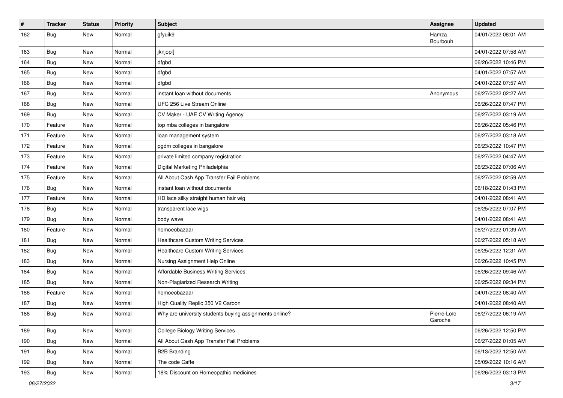| $\sharp$ | <b>Tracker</b> | <b>Status</b> | <b>Priority</b> | <b>Subject</b>                                         | Assignee               | <b>Updated</b>      |
|----------|----------------|---------------|-----------------|--------------------------------------------------------|------------------------|---------------------|
| 162      | <b>Bug</b>     | New           | Normal          | gfyuik9                                                | Hamza<br>Bourbouh      | 04/01/2022 08:01 AM |
| 163      | Bug            | New           | Normal          | jknjopl[                                               |                        | 04/01/2022 07:58 AM |
| 164      | <b>Bug</b>     | New           | Normal          | dfgbd                                                  |                        | 06/26/2022 10:46 PM |
| 165      | Bug            | New           | Normal          | dfgbd                                                  |                        | 04/01/2022 07:57 AM |
| 166      | <b>Bug</b>     | New           | Normal          | dfgbd                                                  |                        | 04/01/2022 07:57 AM |
| 167      | <b>Bug</b>     | New           | Normal          | instant loan without documents                         | Anonymous              | 06/27/2022 02:27 AM |
| 168      | Bug            | New           | Normal          | UFC 256 Live Stream Online                             |                        | 06/26/2022 07:47 PM |
| 169      | <b>Bug</b>     | New           | Normal          | CV Maker - UAE CV Writing Agency                       |                        | 06/27/2022 03:19 AM |
| 170      | Feature        | New           | Normal          | top mba colleges in bangalore                          |                        | 06/26/2022 05:46 PM |
| 171      | Feature        | New           | Normal          | loan management system                                 |                        | 06/27/2022 03:18 AM |
| 172      | Feature        | New           | Normal          | pgdm colleges in bangalore                             |                        | 06/23/2022 10:47 PM |
| 173      | Feature        | New           | Normal          | private limited company registration                   |                        | 06/27/2022 04:47 AM |
| 174      | Feature        | New           | Normal          | Digital Marketing Philadelphia                         |                        | 06/23/2022 07:06 AM |
| 175      | Feature        | New           | Normal          | All About Cash App Transfer Fail Problems              |                        | 06/27/2022 02:59 AM |
| 176      | Bug            | New           | Normal          | instant loan without documents                         |                        | 06/18/2022 01:43 PM |
| 177      | Feature        | New           | Normal          | HD lace silky straight human hair wig                  |                        | 04/01/2022 08:41 AM |
| 178      | Bug            | New           | Normal          | transparent lace wigs                                  |                        | 06/25/2022 07:07 PM |
| 179      | <b>Bug</b>     | New           | Normal          | body wave                                              |                        | 04/01/2022 08:41 AM |
| 180      | Feature        | New           | Normal          | homoeobazaar                                           |                        | 06/27/2022 01:39 AM |
| 181      | Bug            | New           | Normal          | <b>Healthcare Custom Writing Services</b>              |                        | 06/27/2022 05:18 AM |
| 182      | <b>Bug</b>     | New           | Normal          | <b>Healthcare Custom Writing Services</b>              |                        | 06/25/2022 12:31 AM |
| 183      | <b>Bug</b>     | New           | Normal          | Nursing Assignment Help Online                         |                        | 06/26/2022 10:45 PM |
| 184      | <b>Bug</b>     | New           | Normal          | Affordable Business Writing Services                   |                        | 06/26/2022 09:46 AM |
| 185      | <b>Bug</b>     | New           | Normal          | Non-Plagiarized Research Writing                       |                        | 06/25/2022 09:34 PM |
| 186      | Feature        | New           | Normal          | homoeobazaar                                           |                        | 04/01/2022 08:40 AM |
| 187      | Bug            | New           | Normal          | High Quality Replic 350 V2 Carbon                      |                        | 04/01/2022 08:40 AM |
| 188      | <b>Bug</b>     | New           | Normal          | Why are university students buying assignments online? | Pierre-Loïc<br>Garoche | 06/27/2022 06:19 AM |
| 189      | Bug            | New           | Normal          | <b>College Biology Writing Services</b>                |                        | 06/26/2022 12:50 PM |
| 190      | Bug            | New           | Normal          | All About Cash App Transfer Fail Problems              |                        | 06/27/2022 01:05 AM |
| 191      | Bug            | New           | Normal          | <b>B2B Branding</b>                                    |                        | 06/13/2022 12:50 AM |
| 192      | <b>Bug</b>     | New           | Normal          | The code Caffe                                         |                        | 05/09/2022 10:16 AM |
| 193      | Bug            | New           | Normal          | 18% Discount on Homeopathic medicines                  |                        | 06/26/2022 03:13 PM |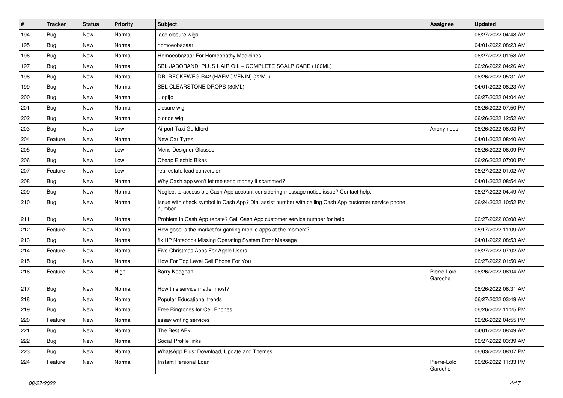| $\#$ | <b>Tracker</b> | <b>Status</b> | <b>Priority</b> | <b>Subject</b>                                                                                                  | Assignee               | <b>Updated</b>      |
|------|----------------|---------------|-----------------|-----------------------------------------------------------------------------------------------------------------|------------------------|---------------------|
| 194  | <b>Bug</b>     | New           | Normal          | lace closure wigs                                                                                               |                        | 06/27/2022 04:48 AM |
| 195  | <b>Bug</b>     | <b>New</b>    | Normal          | homoeobazaar                                                                                                    |                        | 04/01/2022 08:23 AM |
| 196  | Bug            | New           | Normal          | Homoeobazaar For Homeopathy Medicines                                                                           |                        | 06/27/2022 01:58 AM |
| 197  | <b>Bug</b>     | New           | Normal          | SBL JABORANDI PLUS HAIR OIL - COMPLETE SCALP CARE (100ML)                                                       |                        | 06/26/2022 04:26 AM |
| 198  | <b>Bug</b>     | New           | Normal          | DR. RECKEWEG R42 (HAEMOVENIN) (22ML)                                                                            |                        | 06/26/2022 05:31 AM |
| 199  | Bug            | New           | Normal          | SBL CLEARSTONE DROPS (30ML)                                                                                     |                        | 04/01/2022 08:23 AM |
| 200  | <b>Bug</b>     | <b>New</b>    | Normal          | uiopi[o                                                                                                         |                        | 06/27/2022 04:04 AM |
| 201  | Bug            | New           | Normal          | closure wig                                                                                                     |                        | 06/26/2022 07:50 PM |
| 202  | Bug            | New           | Normal          | blonde wig                                                                                                      |                        | 06/26/2022 12:52 AM |
| 203  | <b>Bug</b>     | New           | Low             | Airport Taxi Guildford                                                                                          | Anonymous              | 06/26/2022 06:03 PM |
| 204  | Feature        | New           | Normal          | New Car Tyres                                                                                                   |                        | 04/01/2022 08:40 AM |
| 205  | <b>Bug</b>     | New           | Low             | Mens Designer Glasses                                                                                           |                        | 06/26/2022 06:09 PM |
| 206  | <b>Bug</b>     | New           | Low             | <b>Cheap Electric Bikes</b>                                                                                     |                        | 06/26/2022 07:00 PM |
| 207  | Feature        | <b>New</b>    | Low             | real estate lead conversion                                                                                     |                        | 06/27/2022 01:02 AM |
| 208  | Bug            | New           | Normal          | Why Cash app won't let me send money if scammed?                                                                |                        | 04/01/2022 08:54 AM |
| 209  | <b>Bug</b>     | New           | Normal          | Neglect to access old Cash App account considering message notice issue? Contact help.                          |                        | 06/27/2022 04:49 AM |
| 210  | Bug            | New           | Normal          | Issue with check symbol in Cash App? Dial assist number with calling Cash App customer service phone<br>number. |                        | 06/24/2022 10:52 PM |
| 211  | Bug            | New           | Normal          | Problem in Cash App rebate? Call Cash App customer service number for help.                                     |                        | 06/27/2022 03:08 AM |
| 212  | Feature        | <b>New</b>    | Normal          | How good is the market for gaming mobile apps at the moment?                                                    |                        | 05/17/2022 11:09 AM |
| 213  | Bug            | New           | Normal          | fix HP Notebook Missing Operating System Error Message                                                          |                        | 04/01/2022 08:53 AM |
| 214  | Feature        | <b>New</b>    | Normal          | Five Christmas Apps For Apple Users                                                                             |                        | 06/27/2022 07:02 AM |
| 215  | Bug            | New           | Normal          | How For Top Level Cell Phone For You                                                                            |                        | 06/27/2022 01:50 AM |
| 216  | Feature        | New           | High            | Barry Keoghan                                                                                                   | Pierre-Loïc<br>Garoche | 06/26/2022 08:04 AM |
| 217  | <b>Bug</b>     | New           | Normal          | How this service matter most?                                                                                   |                        | 06/26/2022 06:31 AM |
| 218  | Bug            | New           | Normal          | Popular Educational trends                                                                                      |                        | 06/27/2022 03:49 AM |
| 219  | <b>Bug</b>     | <b>New</b>    | Normal          | Free Ringtones for Cell Phones.                                                                                 |                        | 06/26/2022 11:25 PM |
| 220  | Feature        | New           | Normal          | essay writing services                                                                                          |                        | 06/26/2022 04:55 PM |
| 221  | Bug            | New           | Normal          | The Best APk                                                                                                    |                        | 04/01/2022 08:49 AM |
| 222  | <b>Bug</b>     | New           | Normal          | Social Profile links                                                                                            |                        | 06/27/2022 03:39 AM |
| 223  | Bug            | New           | Normal          | WhatsApp Plus: Download, Update and Themes                                                                      |                        | 06/03/2022 08:07 PM |
| 224  | Feature        | New           | Normal          | Instant Personal Loan                                                                                           | Pierre-Loïc<br>Garoche | 06/26/2022 11:33 PM |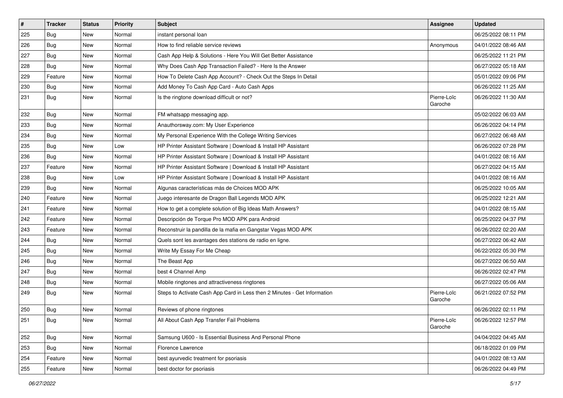| $\sharp$ | <b>Tracker</b> | <b>Status</b> | <b>Priority</b> | <b>Subject</b>                                                           | <b>Assignee</b>        | <b>Updated</b>      |
|----------|----------------|---------------|-----------------|--------------------------------------------------------------------------|------------------------|---------------------|
| 225      | Bug            | New           | Normal          | instant personal loan                                                    |                        | 06/25/2022 08:11 PM |
| 226      | Bug            | <b>New</b>    | Normal          | How to find reliable service reviews                                     | Anonymous              | 04/01/2022 08:46 AM |
| 227      | Bug            | New           | Normal          | Cash App Help & Solutions - Here You Will Get Better Assistance          |                        | 06/25/2022 11:21 PM |
| 228      | <b>Bug</b>     | New           | Normal          | Why Does Cash App Transaction Failed? - Here Is the Answer               |                        | 06/27/2022 05:18 AM |
| 229      | Feature        | New           | Normal          | How To Delete Cash App Account? - Check Out the Steps In Detail          |                        | 05/01/2022 09:06 PM |
| 230      | <b>Bug</b>     | New           | Normal          | Add Money To Cash App Card - Auto Cash Apps                              |                        | 06/26/2022 11:25 AM |
| 231      | <b>Bug</b>     | New           | Normal          | Is the ringtone download difficult or not?                               | Pierre-Loïc<br>Garoche | 06/26/2022 11:30 AM |
| 232      | <b>Bug</b>     | New           | Normal          | FM whatsapp messaging app.                                               |                        | 05/02/2022 06:03 AM |
| 233      | Bug            | New           | Normal          | Anauthorsway.com: My User Experience                                     |                        | 06/26/2022 04:14 PM |
| 234      | <b>Bug</b>     | New           | Normal          | My Personal Experience With the College Writing Services                 |                        | 06/27/2022 06:48 AM |
| 235      | Bug            | New           | Low             | HP Printer Assistant Software   Download & Install HP Assistant          |                        | 06/26/2022 07:28 PM |
| 236      | Bug            | New           | Normal          | HP Printer Assistant Software   Download & Install HP Assistant          |                        | 04/01/2022 08:16 AM |
| 237      | Feature        | New           | Normal          | HP Printer Assistant Software   Download & Install HP Assistant          |                        | 06/27/2022 04:15 AM |
| 238      | Bug            | New           | Low             | HP Printer Assistant Software   Download & Install HP Assistant          |                        | 04/01/2022 08:16 AM |
| 239      | Bug            | New           | Normal          | Algunas características más de Choices MOD APK                           |                        | 06/25/2022 10:05 AM |
| 240      | Feature        | New           | Normal          | Juego interesante de Dragon Ball Legends MOD APK                         |                        | 06/25/2022 12:21 AM |
| 241      | Feature        | New           | Normal          | How to get a complete solution of Big Ideas Math Answers?                |                        | 04/01/2022 08:15 AM |
| 242      | Feature        | New           | Normal          | Descripción de Torque Pro MOD APK para Android                           |                        | 06/25/2022 04:37 PM |
| 243      | Feature        | New           | Normal          | Reconstruir la pandilla de la mafia en Gangstar Vegas MOD APK            |                        | 06/26/2022 02:20 AM |
| 244      | Bug            | New           | Normal          | Quels sont les avantages des stations de radio en ligne.                 |                        | 06/27/2022 06:42 AM |
| 245      | <b>Bug</b>     | New           | Normal          | Write My Essay For Me Cheap                                              |                        | 06/22/2022 05:30 PM |
| 246      | <b>Bug</b>     | New           | Normal          | The Beast App                                                            |                        | 06/27/2022 06:50 AM |
| 247      | <b>Bug</b>     | New           | Normal          | best 4 Channel Amp                                                       |                        | 06/26/2022 02:47 PM |
| 248      | <b>Bug</b>     | New           | Normal          | Mobile ringtones and attractiveness ringtones                            |                        | 06/27/2022 05:06 AM |
| 249      | <b>Bug</b>     | New           | Normal          | Steps to Activate Cash App Card in Less then 2 Minutes - Get Information | Pierre-Loïc<br>Garoche | 06/21/2022 07:52 PM |
| 250      | <b>Bug</b>     | New           | Normal          | Reviews of phone ringtones                                               |                        | 06/26/2022 02:11 PM |
| 251      | Bug            | New           | Normal          | All About Cash App Transfer Fail Problems                                | Pierre-Loïc<br>Garoche | 06/26/2022 12:57 PM |
| 252      | <b>Bug</b>     | New           | Normal          | Samsung U600 - Is Essential Business And Personal Phone                  |                        | 04/04/2022 04:45 AM |
| 253      | Bug            | New           | Normal          | Florence Lawrence                                                        |                        | 06/18/2022 01:09 PM |
| 254      | Feature        | New           | Normal          | best ayurvedic treatment for psoriasis                                   |                        | 04/01/2022 08:13 AM |
| 255      | Feature        | New           | Normal          | best doctor for psoriasis                                                |                        | 06/26/2022 04:49 PM |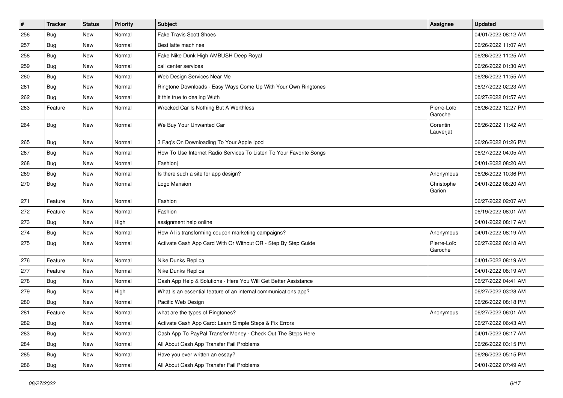| $\vert$ # | <b>Tracker</b> | <b>Status</b> | <b>Priority</b> | <b>Subject</b>                                                      | Assignee               | <b>Updated</b>      |
|-----------|----------------|---------------|-----------------|---------------------------------------------------------------------|------------------------|---------------------|
| 256       | <b>Bug</b>     | <b>New</b>    | Normal          | <b>Fake Travis Scott Shoes</b>                                      |                        | 04/01/2022 08:12 AM |
| 257       | <b>Bug</b>     | New           | Normal          | Best latte machines                                                 |                        | 06/26/2022 11:07 AM |
| 258       | Bug            | <b>New</b>    | Normal          | Fake Nike Dunk High AMBUSH Deep Royal                               |                        | 06/26/2022 11:25 AM |
| 259       | Bug            | <b>New</b>    | Normal          | call center services                                                |                        | 06/26/2022 01:30 AM |
| 260       | Bug            | <b>New</b>    | Normal          | Web Design Services Near Me                                         |                        | 06/26/2022 11:55 AM |
| 261       | Bug            | New           | Normal          | Ringtone Downloads - Easy Ways Come Up With Your Own Ringtones      |                        | 06/27/2022 02:23 AM |
| 262       | <b>Bug</b>     | <b>New</b>    | Normal          | It this true to dealing Wuth                                        |                        | 06/27/2022 01:57 AM |
| 263       | Feature        | <b>New</b>    | Normal          | Wrecked Car Is Nothing But A Worthless                              | Pierre-Loïc<br>Garoche | 06/26/2022 12:27 PM |
| 264       | <b>Bug</b>     | New           | Normal          | We Buy Your Unwanted Car                                            | Corentin<br>Lauverjat  | 06/26/2022 11:42 AM |
| 265       | Bug            | New           | Normal          | 3 Faq's On Downloading To Your Apple Ipod                           |                        | 06/26/2022 01:26 PM |
| 267       | Bug            | New           | Normal          | How To Use Internet Radio Services To Listen To Your Favorite Songs |                        | 06/27/2022 04:05 AM |
| 268       | Bug            | <b>New</b>    | Normal          | Fashionj                                                            |                        | 04/01/2022 08:20 AM |
| 269       | <b>Bug</b>     | New           | Normal          | Is there such a site for app design?                                | Anonymous              | 06/26/2022 10:36 PM |
| 270       | <b>Bug</b>     | New           | Normal          | Logo Mansion                                                        | Christophe<br>Garion   | 04/01/2022 08:20 AM |
| 271       | Feature        | <b>New</b>    | Normal          | Fashion                                                             |                        | 06/27/2022 02:07 AM |
| 272       | Feature        | <b>New</b>    | Normal          | Fashion                                                             |                        | 06/19/2022 08:01 AM |
| 273       | <b>Bug</b>     | <b>New</b>    | High            | assignment help online                                              |                        | 04/01/2022 08:17 AM |
| 274       | Bug            | <b>New</b>    | Normal          | How AI is transforming coupon marketing campaigns?                  | Anonymous              | 04/01/2022 08:19 AM |
| 275       | <b>Bug</b>     | <b>New</b>    | Normal          | Activate Cash App Card With Or Without QR - Step By Step Guide      | Pierre-Loïc<br>Garoche | 06/27/2022 06:18 AM |
| 276       | Feature        | New           | Normal          | Nike Dunks Replica                                                  |                        | 04/01/2022 08:19 AM |
| 277       | Feature        | <b>New</b>    | Normal          | Nike Dunks Replica                                                  |                        | 04/01/2022 08:19 AM |
| 278       | <b>Bug</b>     | <b>New</b>    | Normal          | Cash App Help & Solutions - Here You Will Get Better Assistance     |                        | 06/27/2022 04:41 AM |
| 279       | <b>Bug</b>     | <b>New</b>    | High            | What is an essential feature of an internal communications app?     |                        | 06/27/2022 03:28 AM |
| 280       | <b>Bug</b>     | <b>New</b>    | Normal          | Pacific Web Design                                                  |                        | 06/26/2022 08:18 PM |
| 281       | Feature        | <b>New</b>    | Normal          | what are the types of Ringtones?                                    | Anonymous              | 06/27/2022 06:01 AM |
| 282       | Bug            | New           | Normal          | Activate Cash App Card: Learn Simple Steps & Fix Errors             |                        | 06/27/2022 06:43 AM |
| 283       | <b>Bug</b>     | New           | Normal          | Cash App To PayPal Transfer Money - Check Out The Steps Here        |                        | 04/01/2022 08:17 AM |
| 284       | <b>Bug</b>     | New           | Normal          | All About Cash App Transfer Fail Problems                           |                        | 06/26/2022 03:15 PM |
| 285       | <b>Bug</b>     | New           | Normal          | Have you ever written an essay?                                     |                        | 06/26/2022 05:15 PM |
| 286       | <b>Bug</b>     | New           | Normal          | All About Cash App Transfer Fail Problems                           |                        | 04/01/2022 07:49 AM |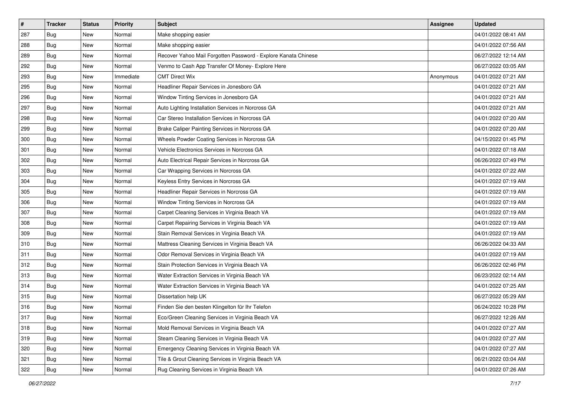| $\vert$ # | <b>Tracker</b> | <b>Status</b> | <b>Priority</b> | <b>Subject</b>                                                 | <b>Assignee</b> | <b>Updated</b>      |
|-----------|----------------|---------------|-----------------|----------------------------------------------------------------|-----------------|---------------------|
| 287       | <b>Bug</b>     | New           | Normal          | Make shopping easier                                           |                 | 04/01/2022 08:41 AM |
| 288       | <b>Bug</b>     | New           | Normal          | Make shopping easier                                           |                 | 04/01/2022 07:56 AM |
| 289       | <b>Bug</b>     | New           | Normal          | Recover Yahoo Mail Forgotten Password - Explore Kanata Chinese |                 | 06/27/2022 12:14 AM |
| 292       | <b>Bug</b>     | New           | Normal          | Venmo to Cash App Transfer Of Money- Explore Here              |                 | 06/27/2022 03:05 AM |
| 293       | <b>Bug</b>     | New           | Immediate       | <b>CMT Direct Wix</b>                                          | Anonymous       | 04/01/2022 07:21 AM |
| 295       | <b>Bug</b>     | New           | Normal          | Headliner Repair Services in Jonesboro GA                      |                 | 04/01/2022 07:21 AM |
| 296       | <b>Bug</b>     | New           | Normal          | Window Tinting Services in Jonesboro GA                        |                 | 04/01/2022 07:21 AM |
| 297       | <b>Bug</b>     | New           | Normal          | Auto Lighting Installation Services in Norcross GA             |                 | 04/01/2022 07:21 AM |
| 298       | <b>Bug</b>     | New           | Normal          | Car Stereo Installation Services in Norcross GA                |                 | 04/01/2022 07:20 AM |
| 299       | Bug            | New           | Normal          | Brake Caliper Painting Services in Norcross GA                 |                 | 04/01/2022 07:20 AM |
| 300       | <b>Bug</b>     | New           | Normal          | Wheels Powder Coating Services in Norcross GA                  |                 | 04/15/2022 01:45 PM |
| 301       | <b>Bug</b>     | New           | Normal          | Vehicle Electronics Services in Norcross GA                    |                 | 04/01/2022 07:18 AM |
| 302       | <b>Bug</b>     | New           | Normal          | Auto Electrical Repair Services in Norcross GA                 |                 | 06/26/2022 07:49 PM |
| 303       | <b>Bug</b>     | New           | Normal          | Car Wrapping Services in Norcross GA                           |                 | 04/01/2022 07:22 AM |
| 304       | <b>Bug</b>     | <b>New</b>    | Normal          | Keyless Entry Services in Norcross GA                          |                 | 04/01/2022 07:19 AM |
| 305       | Bug            | New           | Normal          | Headliner Repair Services in Norcross GA                       |                 | 04/01/2022 07:19 AM |
| 306       | <b>Bug</b>     | New           | Normal          | Window Tinting Services in Norcross GA                         |                 | 04/01/2022 07:19 AM |
| 307       | <b>Bug</b>     | New           | Normal          | Carpet Cleaning Services in Virginia Beach VA                  |                 | 04/01/2022 07:19 AM |
| 308       | <b>Bug</b>     | New           | Normal          | Carpet Repairing Services in Virginia Beach VA                 |                 | 04/01/2022 07:19 AM |
| 309       | <b>Bug</b>     | New           | Normal          | Stain Removal Services in Virginia Beach VA                    |                 | 04/01/2022 07:19 AM |
| 310       | <b>Bug</b>     | New           | Normal          | Mattress Cleaning Services in Virginia Beach VA                |                 | 06/26/2022 04:33 AM |
| 311       | <b>Bug</b>     | New           | Normal          | Odor Removal Services in Virginia Beach VA                     |                 | 04/01/2022 07:19 AM |
| 312       | Bug            | New           | Normal          | Stain Protection Services in Virginia Beach VA                 |                 | 06/26/2022 02:46 PM |
| 313       | <b>Bug</b>     | New           | Normal          | Water Extraction Services in Virginia Beach VA                 |                 | 06/23/2022 02:14 AM |
| 314       | <b>Bug</b>     | New           | Normal          | Water Extraction Services in Virginia Beach VA                 |                 | 04/01/2022 07:25 AM |
| 315       | <b>Bug</b>     | <b>New</b>    | Normal          | Dissertation help UK                                           |                 | 06/27/2022 05:29 AM |
| 316       | <b>Bug</b>     | New           | Normal          | Finden Sie den besten Klingelton für Ihr Telefon               |                 | 06/24/2022 10:28 PM |
| 317       | Bug            | New           | Normal          | Eco/Green Cleaning Services in Virginia Beach VA               |                 | 06/27/2022 12:26 AM |
| 318       | Bug            | New           | Normal          | Mold Removal Services in Virginia Beach VA                     |                 | 04/01/2022 07:27 AM |
| 319       | Bug            | New           | Normal          | Steam Cleaning Services in Virginia Beach VA                   |                 | 04/01/2022 07:27 AM |
| 320       | <b>Bug</b>     | New           | Normal          | Emergency Cleaning Services in Virginia Beach VA               |                 | 04/01/2022 07:27 AM |
| 321       | <b>Bug</b>     | New           | Normal          | Tile & Grout Cleaning Services in Virginia Beach VA            |                 | 06/21/2022 03:04 AM |
| 322       | <b>Bug</b>     | New           | Normal          | Rug Cleaning Services in Virginia Beach VA                     |                 | 04/01/2022 07:26 AM |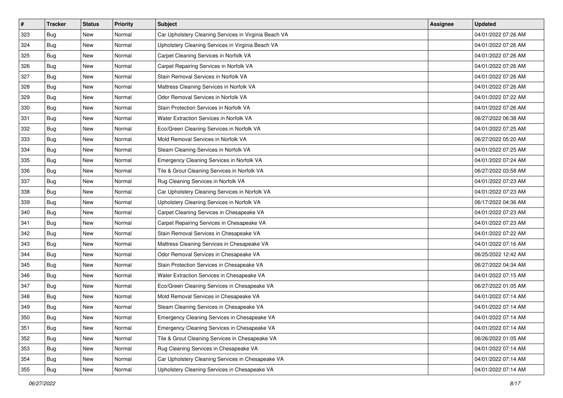| $\vert$ # | <b>Tracker</b> | <b>Status</b> | <b>Priority</b> | <b>Subject</b>                                        | <b>Assignee</b> | <b>Updated</b>      |
|-----------|----------------|---------------|-----------------|-------------------------------------------------------|-----------------|---------------------|
| 323       | <b>Bug</b>     | New           | Normal          | Car Upholstery Cleaning Services in Virginia Beach VA |                 | 04/01/2022 07:26 AM |
| 324       | <b>Bug</b>     | New           | Normal          | Upholstery Cleaning Services in Virginia Beach VA     |                 | 04/01/2022 07:26 AM |
| 325       | <b>Bug</b>     | New           | Normal          | Carpet Cleaning Services in Norfolk VA                |                 | 04/01/2022 07:26 AM |
| 326       | <b>Bug</b>     | New           | Normal          | Carpet Repairing Services in Norfolk VA               |                 | 04/01/2022 07:26 AM |
| 327       | <b>Bug</b>     | <b>New</b>    | Normal          | Stain Removal Services in Norfolk VA                  |                 | 04/01/2022 07:26 AM |
| 328       | <b>Bug</b>     | <b>New</b>    | Normal          | Mattress Cleaning Services in Norfolk VA              |                 | 04/01/2022 07:26 AM |
| 329       | <b>Bug</b>     | New           | Normal          | Odor Removal Services in Norfolk VA                   |                 | 04/01/2022 07:22 AM |
| 330       | <b>Bug</b>     | New           | Normal          | Stain Protection Services in Norfolk VA               |                 | 04/01/2022 07:26 AM |
| 331       | <b>Bug</b>     | New           | Normal          | Water Extraction Services in Norfolk VA               |                 | 06/27/2022 06:38 AM |
| 332       | <b>Bug</b>     | New           | Normal          | Eco/Green Cleaning Services in Norfolk VA             |                 | 04/01/2022 07:25 AM |
| 333       | <b>Bug</b>     | New           | Normal          | Mold Removal Services in Norfolk VA                   |                 | 06/27/2022 05:20 AM |
| 334       | <b>Bug</b>     | New           | Normal          | Steam Cleaning Services in Norfolk VA                 |                 | 04/01/2022 07:25 AM |
| 335       | <b>Bug</b>     | New           | Normal          | Emergency Cleaning Services in Norfolk VA             |                 | 04/01/2022 07:24 AM |
| 336       | <b>Bug</b>     | New           | Normal          | Tile & Grout Cleaning Services in Norfolk VA          |                 | 06/27/2022 03:58 AM |
| 337       | <b>Bug</b>     | <b>New</b>    | Normal          | Rug Cleaning Services in Norfolk VA                   |                 | 04/01/2022 07:23 AM |
| 338       | Bug            | New           | Normal          | Car Upholstery Cleaning Services in Norfolk VA        |                 | 04/01/2022 07:23 AM |
| 339       | <b>Bug</b>     | New           | Normal          | Upholstery Cleaning Services in Norfolk VA            |                 | 06/17/2022 04:36 AM |
| 340       | <b>Bug</b>     | <b>New</b>    | Normal          | Carpet Cleaning Services in Chesapeake VA             |                 | 04/01/2022 07:23 AM |
| 341       | <b>Bug</b>     | New           | Normal          | Carpet Repairing Services in Chesapeake VA            |                 | 04/01/2022 07:23 AM |
| 342       | <b>Bug</b>     | New           | Normal          | Stain Removal Services in Chesapeake VA               |                 | 04/01/2022 07:22 AM |
| 343       | <b>Bug</b>     | New           | Normal          | Mattress Cleaning Services in Chesapeake VA           |                 | 04/01/2022 07:16 AM |
| 344       | <b>Bug</b>     | New           | Normal          | Odor Removal Services in Chesapeake VA                |                 | 06/25/2022 12:42 AM |
| 345       | Bug            | <b>New</b>    | Normal          | Stain Protection Services in Chesapeake VA            |                 | 06/27/2022 04:34 AM |
| 346       | <b>Bug</b>     | New           | Normal          | Water Extraction Services in Chesapeake VA            |                 | 04/01/2022 07:15 AM |
| 347       | <b>Bug</b>     | New           | Normal          | Eco/Green Cleaning Services in Chesapeake VA          |                 | 06/27/2022 01:05 AM |
| 348       | <b>Bug</b>     | <b>New</b>    | Normal          | Mold Removal Services in Chesapeake VA                |                 | 04/01/2022 07:14 AM |
| 349       | <b>Bug</b>     | New           | Normal          | Steam Cleaning Services in Chesapeake VA              |                 | 04/01/2022 07:14 AM |
| 350       | Bug            | New           | Normal          | Emergency Cleaning Services in Chesapeake VA          |                 | 04/01/2022 07:14 AM |
| 351       | Bug            | New           | Normal          | Emergency Cleaning Services in Chesapeake VA          |                 | 04/01/2022 07:14 AM |
| 352       | Bug            | New           | Normal          | Tile & Grout Cleaning Services in Chesapeake VA       |                 | 06/26/2022 01:05 AM |
| 353       | <b>Bug</b>     | New           | Normal          | Rug Cleaning Services in Chesapeake VA                |                 | 04/01/2022 07:14 AM |
| 354       | <b>Bug</b>     | New           | Normal          | Car Upholstery Cleaning Services in Chesapeake VA     |                 | 04/01/2022 07:14 AM |
| 355       | <b>Bug</b>     | New           | Normal          | Upholstery Cleaning Services in Chesapeake VA         |                 | 04/01/2022 07:14 AM |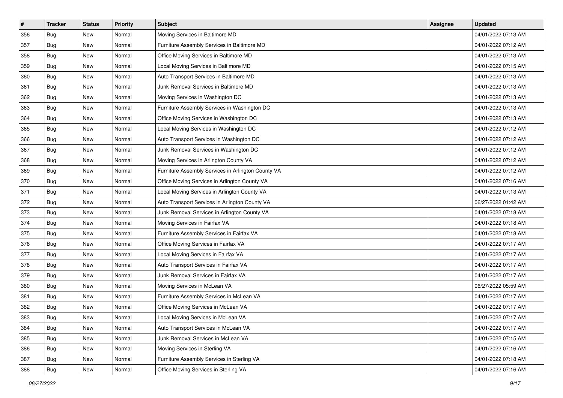| $\vert$ # | <b>Tracker</b> | <b>Status</b> | <b>Priority</b> | <b>Subject</b>                                     | <b>Assignee</b> | <b>Updated</b>      |
|-----------|----------------|---------------|-----------------|----------------------------------------------------|-----------------|---------------------|
| 356       | <b>Bug</b>     | New           | Normal          | Moving Services in Baltimore MD                    |                 | 04/01/2022 07:13 AM |
| 357       | <b>Bug</b>     | New           | Normal          | Furniture Assembly Services in Baltimore MD        |                 | 04/01/2022 07:12 AM |
| 358       | <b>Bug</b>     | New           | Normal          | Office Moving Services in Baltimore MD             |                 | 04/01/2022 07:13 AM |
| 359       | <b>Bug</b>     | New           | Normal          | Local Moving Services in Baltimore MD              |                 | 04/01/2022 07:15 AM |
| 360       | <b>Bug</b>     | <b>New</b>    | Normal          | Auto Transport Services in Baltimore MD            |                 | 04/01/2022 07:13 AM |
| 361       | <b>Bug</b>     | New           | Normal          | Junk Removal Services in Baltimore MD              |                 | 04/01/2022 07:13 AM |
| 362       | <b>Bug</b>     | New           | Normal          | Moving Services in Washington DC                   |                 | 04/01/2022 07:13 AM |
| 363       | <b>Bug</b>     | New           | Normal          | Furniture Assembly Services in Washington DC       |                 | 04/01/2022 07:13 AM |
| 364       | <b>Bug</b>     | New           | Normal          | Office Moving Services in Washington DC            |                 | 04/01/2022 07:13 AM |
| 365       | Bug            | New           | Normal          | Local Moving Services in Washington DC             |                 | 04/01/2022 07:12 AM |
| 366       | <b>Bug</b>     | New           | Normal          | Auto Transport Services in Washington DC           |                 | 04/01/2022 07:12 AM |
| 367       | <b>Bug</b>     | New           | Normal          | Junk Removal Services in Washington DC             |                 | 04/01/2022 07:12 AM |
| 368       | <b>Bug</b>     | <b>New</b>    | Normal          | Moving Services in Arlington County VA             |                 | 04/01/2022 07:12 AM |
| 369       | <b>Bug</b>     | New           | Normal          | Furniture Assembly Services in Arlington County VA |                 | 04/01/2022 07:12 AM |
| 370       | Bug            | New           | Normal          | Office Moving Services in Arlington County VA      |                 | 04/01/2022 07:16 AM |
| 371       | Bug            | New           | Normal          | Local Moving Services in Arlington County VA       |                 | 04/01/2022 07:13 AM |
| 372       | <b>Bug</b>     | New           | Normal          | Auto Transport Services in Arlington County VA     |                 | 06/27/2022 01:42 AM |
| 373       | <b>Bug</b>     | <b>New</b>    | Normal          | Junk Removal Services in Arlington County VA       |                 | 04/01/2022 07:18 AM |
| 374       | <b>Bug</b>     | New           | Normal          | Moving Services in Fairfax VA                      |                 | 04/01/2022 07:18 AM |
| 375       | Bug            | New           | Normal          | Furniture Assembly Services in Fairfax VA          |                 | 04/01/2022 07:18 AM |
| 376       | Bug            | New           | Normal          | Office Moving Services in Fairfax VA               |                 | 04/01/2022 07:17 AM |
| 377       | <b>Bug</b>     | New           | Normal          | Local Moving Services in Fairfax VA                |                 | 04/01/2022 07:17 AM |
| 378       | Bug            | <b>New</b>    | Normal          | Auto Transport Services in Fairfax VA              |                 | 04/01/2022 07:17 AM |
| 379       | <b>Bug</b>     | New           | Normal          | Junk Removal Services in Fairfax VA                |                 | 04/01/2022 07:17 AM |
| 380       | <b>Bug</b>     | New           | Normal          | Moving Services in McLean VA                       |                 | 06/27/2022 05:59 AM |
| 381       | <b>Bug</b>     | New           | Normal          | Furniture Assembly Services in McLean VA           |                 | 04/01/2022 07:17 AM |
| 382       | <b>Bug</b>     | New           | Normal          | Office Moving Services in McLean VA                |                 | 04/01/2022 07:17 AM |
| 383       | Bug            | New           | Normal          | Local Moving Services in McLean VA                 |                 | 04/01/2022 07:17 AM |
| 384       | Bug            | New           | Normal          | Auto Transport Services in McLean VA               |                 | 04/01/2022 07:17 AM |
| 385       | Bug            | New           | Normal          | Junk Removal Services in McLean VA                 |                 | 04/01/2022 07:15 AM |
| 386       | <b>Bug</b>     | New           | Normal          | Moving Services in Sterling VA                     |                 | 04/01/2022 07:16 AM |
| 387       | <b>Bug</b>     | New           | Normal          | Furniture Assembly Services in Sterling VA         |                 | 04/01/2022 07:18 AM |
| 388       | <b>Bug</b>     | New           | Normal          | Office Moving Services in Sterling VA              |                 | 04/01/2022 07:16 AM |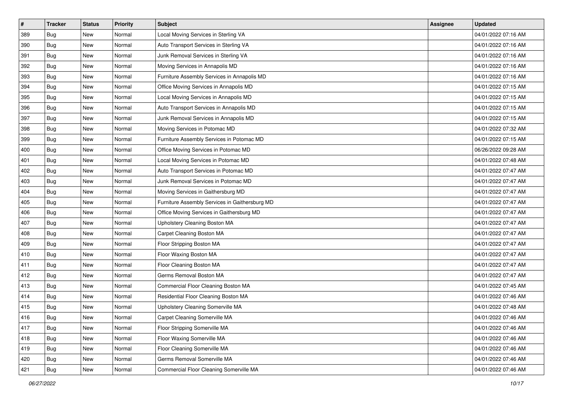| $\vert$ # | <b>Tracker</b> | <b>Status</b> | <b>Priority</b> | <b>Subject</b>                                 | <b>Assignee</b> | <b>Updated</b>      |
|-----------|----------------|---------------|-----------------|------------------------------------------------|-----------------|---------------------|
| 389       | <b>Bug</b>     | New           | Normal          | Local Moving Services in Sterling VA           |                 | 04/01/2022 07:16 AM |
| 390       | <b>Bug</b>     | New           | Normal          | Auto Transport Services in Sterling VA         |                 | 04/01/2022 07:16 AM |
| 391       | <b>Bug</b>     | New           | Normal          | Junk Removal Services in Sterling VA           |                 | 04/01/2022 07:16 AM |
| 392       | <b>Bug</b>     | New           | Normal          | Moving Services in Annapolis MD                |                 | 04/01/2022 07:16 AM |
| 393       | <b>Bug</b>     | New           | Normal          | Furniture Assembly Services in Annapolis MD    |                 | 04/01/2022 07:16 AM |
| 394       | <b>Bug</b>     | New           | Normal          | Office Moving Services in Annapolis MD         |                 | 04/01/2022 07:15 AM |
| 395       | <b>Bug</b>     | New           | Normal          | Local Moving Services in Annapolis MD          |                 | 04/01/2022 07:15 AM |
| 396       | <b>Bug</b>     | New           | Normal          | Auto Transport Services in Annapolis MD        |                 | 04/01/2022 07:15 AM |
| 397       | <b>Bug</b>     | New           | Normal          | Junk Removal Services in Annapolis MD          |                 | 04/01/2022 07:15 AM |
| 398       | Bug            | New           | Normal          | Moving Services in Potomac MD                  |                 | 04/01/2022 07:32 AM |
| 399       | <b>Bug</b>     | New           | Normal          | Furniture Assembly Services in Potomac MD      |                 | 04/01/2022 07:15 AM |
| 400       | <b>Bug</b>     | New           | Normal          | Office Moving Services in Potomac MD           |                 | 06/26/2022 09:28 AM |
| 401       | <b>Bug</b>     | New           | Normal          | Local Moving Services in Potomac MD            |                 | 04/01/2022 07:48 AM |
| 402       | <b>Bug</b>     | New           | Normal          | Auto Transport Services in Potomac MD          |                 | 04/01/2022 07:47 AM |
| 403       | <b>Bug</b>     | New           | Normal          | Junk Removal Services in Potomac MD            |                 | 04/01/2022 07:47 AM |
| 404       | Bug            | New           | Normal          | Moving Services in Gaithersburg MD             |                 | 04/01/2022 07:47 AM |
| 405       | <b>Bug</b>     | New           | Normal          | Furniture Assembly Services in Gaithersburg MD |                 | 04/01/2022 07:47 AM |
| 406       | <b>Bug</b>     | <b>New</b>    | Normal          | Office Moving Services in Gaithersburg MD      |                 | 04/01/2022 07:47 AM |
| 407       | <b>Bug</b>     | New           | Normal          | Upholstery Cleaning Boston MA                  |                 | 04/01/2022 07:47 AM |
| 408       | <b>Bug</b>     | New           | Normal          | Carpet Cleaning Boston MA                      |                 | 04/01/2022 07:47 AM |
| 409       | <b>Bug</b>     | New           | Normal          | Floor Stripping Boston MA                      |                 | 04/01/2022 07:47 AM |
| 410       | <b>Bug</b>     | New           | Normal          | Floor Waxing Boston MA                         |                 | 04/01/2022 07:47 AM |
| 411       | <b>Bug</b>     | <b>New</b>    | Normal          | Floor Cleaning Boston MA                       |                 | 04/01/2022 07:47 AM |
| 412       | <b>Bug</b>     | New           | Normal          | Germs Removal Boston MA                        |                 | 04/01/2022 07:47 AM |
| 413       | <b>Bug</b>     | New           | Normal          | Commercial Floor Cleaning Boston MA            |                 | 04/01/2022 07:45 AM |
| 414       | <b>Bug</b>     | New           | Normal          | Residential Floor Cleaning Boston MA           |                 | 04/01/2022 07:46 AM |
| 415       | <b>Bug</b>     | New           | Normal          | Upholstery Cleaning Somerville MA              |                 | 04/01/2022 07:48 AM |
| 416       | Bug            | New           | Normal          | Carpet Cleaning Somerville MA                  |                 | 04/01/2022 07:46 AM |
| 417       | <b>Bug</b>     | New           | Normal          | Floor Stripping Somerville MA                  |                 | 04/01/2022 07:46 AM |
| 418       | <b>Bug</b>     | New           | Normal          | Floor Waxing Somerville MA                     |                 | 04/01/2022 07:46 AM |
| 419       | <b>Bug</b>     | New           | Normal          | Floor Cleaning Somerville MA                   |                 | 04/01/2022 07:46 AM |
| 420       | <b>Bug</b>     | New           | Normal          | Germs Removal Somerville MA                    |                 | 04/01/2022 07:46 AM |
| 421       | <b>Bug</b>     | New           | Normal          | Commercial Floor Cleaning Somerville MA        |                 | 04/01/2022 07:46 AM |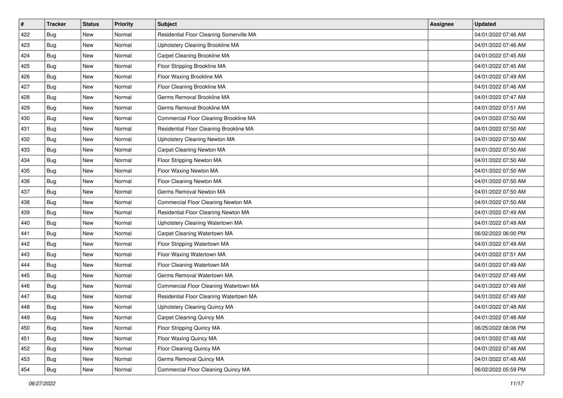| $\vert$ # | <b>Tracker</b> | <b>Status</b> | <b>Priority</b> | <b>Subject</b>                           | <b>Assignee</b> | <b>Updated</b>      |
|-----------|----------------|---------------|-----------------|------------------------------------------|-----------------|---------------------|
| 422       | <b>Bug</b>     | New           | Normal          | Residential Floor Cleaning Somerville MA |                 | 04/01/2022 07:46 AM |
| 423       | <b>Bug</b>     | New           | Normal          | Upholstery Cleaning Brookline MA         |                 | 04/01/2022 07:46 AM |
| 424       | <b>Bug</b>     | New           | Normal          | Carpet Cleaning Brookline MA             |                 | 04/01/2022 07:45 AM |
| 425       | <b>Bug</b>     | New           | Normal          | Floor Stripping Brookline MA             |                 | 04/01/2022 07:45 AM |
| 426       | <b>Bug</b>     | New           | Normal          | Floor Waxing Brookline MA                |                 | 04/01/2022 07:49 AM |
| 427       | <b>Bug</b>     | New           | Normal          | Floor Cleaning Brookline MA              |                 | 04/01/2022 07:46 AM |
| 428       | <b>Bug</b>     | New           | Normal          | Germs Removal Brookline MA               |                 | 04/01/2022 07:47 AM |
| 429       | <b>Bug</b>     | New           | Normal          | Germs Removal Brookline MA               |                 | 04/01/2022 07:51 AM |
| 430       | <b>Bug</b>     | New           | Normal          | Commercial Floor Cleaning Brookline MA   |                 | 04/01/2022 07:50 AM |
| 431       | Bug            | New           | Normal          | Residential Floor Cleaning Brookline MA  |                 | 04/01/2022 07:50 AM |
| 432       | <b>Bug</b>     | New           | Normal          | Upholstery Cleaning Newton MA            |                 | 04/01/2022 07:50 AM |
| 433       | <b>Bug</b>     | New           | Normal          | Carpet Cleaning Newton MA                |                 | 04/01/2022 07:50 AM |
| 434       | <b>Bug</b>     | <b>New</b>    | Normal          | Floor Stripping Newton MA                |                 | 04/01/2022 07:50 AM |
| 435       | <b>Bug</b>     | New           | Normal          | Floor Waxing Newton MA                   |                 | 04/01/2022 07:50 AM |
| 436       | <b>Bug</b>     | New           | Normal          | Floor Cleaning Newton MA                 |                 | 04/01/2022 07:50 AM |
| 437       | Bug            | New           | Normal          | Germs Removal Newton MA                  |                 | 04/01/2022 07:50 AM |
| 438       | <b>Bug</b>     | New           | Normal          | Commercial Floor Cleaning Newton MA      |                 | 04/01/2022 07:50 AM |
| 439       | <b>Bug</b>     | <b>New</b>    | Normal          | Residential Floor Cleaning Newton MA     |                 | 04/01/2022 07:49 AM |
| 440       | <b>Bug</b>     | New           | Normal          | Upholstery Cleaning Watertown MA         |                 | 04/01/2022 07:49 AM |
| 441       | Bug            | New           | Normal          | Carpet Cleaning Watertown MA             |                 | 06/02/2022 06:00 PM |
| 442       | <b>Bug</b>     | New           | Normal          | Floor Stripping Watertown MA             |                 | 04/01/2022 07:49 AM |
| 443       | <b>Bug</b>     | New           | Normal          | Floor Waxing Watertown MA                |                 | 04/01/2022 07:51 AM |
| 444       | <b>Bug</b>     | <b>New</b>    | Normal          | Floor Cleaning Watertown MA              |                 | 04/01/2022 07:49 AM |
| 445       | Bug            | New           | Normal          | Germs Removal Watertown MA               |                 | 04/01/2022 07:49 AM |
| 446       | <b>Bug</b>     | New           | Normal          | Commercial Floor Cleaning Watertown MA   |                 | 04/01/2022 07:49 AM |
| 447       | <b>Bug</b>     | New           | Normal          | Residential Floor Cleaning Watertown MA  |                 | 04/01/2022 07:49 AM |
| 448       | <b>Bug</b>     | New           | Normal          | Upholstery Cleaning Quincy MA            |                 | 04/01/2022 07:48 AM |
| 449       | Bug            | New           | Normal          | Carpet Cleaning Quincy MA                |                 | 04/01/2022 07:48 AM |
| 450       | <b>Bug</b>     | New           | Normal          | Floor Stripping Quincy MA                |                 | 06/25/2022 08:06 PM |
| 451       | <b>Bug</b>     | New           | Normal          | Floor Waxing Quincy MA                   |                 | 04/01/2022 07:48 AM |
| 452       | <b>Bug</b>     | New           | Normal          | Floor Cleaning Quincy MA                 |                 | 04/01/2022 07:48 AM |
| 453       | <b>Bug</b>     | New           | Normal          | Germs Removal Quincy MA                  |                 | 04/01/2022 07:48 AM |
| 454       | <b>Bug</b>     | New           | Normal          | Commercial Floor Cleaning Quincy MA      |                 | 06/02/2022 05:59 PM |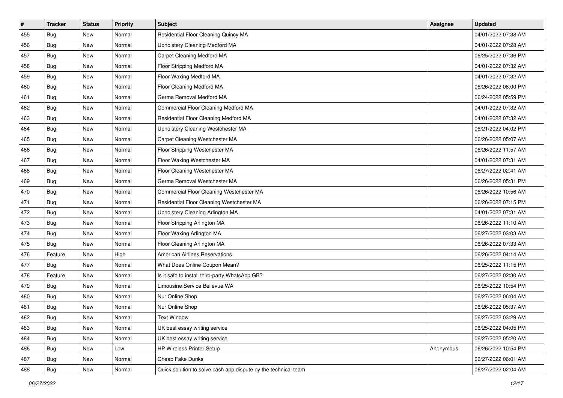| #   | <b>Tracker</b> | <b>Status</b> | <b>Priority</b> | <b>Subject</b>                                                 | <b>Assignee</b> | <b>Updated</b>      |
|-----|----------------|---------------|-----------------|----------------------------------------------------------------|-----------------|---------------------|
| 455 | Bug            | New           | Normal          | Residential Floor Cleaning Quincy MA                           |                 | 04/01/2022 07:38 AM |
| 456 | <b>Bug</b>     | <b>New</b>    | Normal          | Upholstery Cleaning Medford MA                                 |                 | 04/01/2022 07:28 AM |
| 457 | <b>Bug</b>     | New           | Normal          | Carpet Cleaning Medford MA                                     |                 | 06/25/2022 07:36 PM |
| 458 | <b>Bug</b>     | New           | Normal          | Floor Stripping Medford MA                                     |                 | 04/01/2022 07:32 AM |
| 459 | <b>Bug</b>     | <b>New</b>    | Normal          | Floor Waxing Medford MA                                        |                 | 04/01/2022 07:32 AM |
| 460 | <b>Bug</b>     | New           | Normal          | Floor Cleaning Medford MA                                      |                 | 06/26/2022 08:00 PM |
| 461 | <b>Bug</b>     | New           | Normal          | Germs Removal Medford MA                                       |                 | 06/24/2022 05:59 PM |
| 462 | <b>Bug</b>     | New           | Normal          | Commercial Floor Cleaning Medford MA                           |                 | 04/01/2022 07:32 AM |
| 463 | <b>Bug</b>     | New           | Normal          | Residential Floor Cleaning Medford MA                          |                 | 04/01/2022 07:32 AM |
| 464 | Bug            | <b>New</b>    | Normal          | Upholstery Cleaning Westchester MA                             |                 | 06/21/2022 04:02 PM |
| 465 | <b>Bug</b>     | New           | Normal          | Carpet Cleaning Westchester MA                                 |                 | 06/26/2022 05:07 AM |
| 466 | <b>Bug</b>     | New           | Normal          | Floor Stripping Westchester MA                                 |                 | 06/26/2022 11:57 AM |
| 467 | <b>Bug</b>     | New           | Normal          | Floor Waxing Westchester MA                                    |                 | 04/01/2022 07:31 AM |
| 468 | <b>Bug</b>     | New           | Normal          | Floor Cleaning Westchester MA                                  |                 | 06/27/2022 02:41 AM |
| 469 | Bug            | New           | Normal          | Germs Removal Westchester MA                                   |                 | 06/26/2022 05:31 PM |
| 470 | <b>Bug</b>     | New           | Normal          | Commercial Floor Cleaning Westchester MA                       |                 | 06/26/2022 10:56 AM |
| 471 | <b>Bug</b>     | New           | Normal          | Residential Floor Cleaning Westchester MA                      |                 | 06/26/2022 07:15 PM |
| 472 | <b>Bug</b>     | <b>New</b>    | Normal          | Upholstery Cleaning Arlington MA                               |                 | 04/01/2022 07:31 AM |
| 473 | <b>Bug</b>     | New           | Normal          | Floor Stripping Arlington MA                                   |                 | 06/26/2022 11:10 AM |
| 474 | <b>Bug</b>     | <b>New</b>    | Normal          | Floor Waxing Arlington MA                                      |                 | 06/27/2022 03:03 AM |
| 475 | Bug            | New           | Normal          | Floor Cleaning Arlington MA                                    |                 | 06/26/2022 07:33 AM |
| 476 | Feature        | New           | High            | <b>American Airlines Reservations</b>                          |                 | 06/26/2022 04:14 AM |
| 477 | <b>Bug</b>     | <b>New</b>    | Normal          | What Does Online Coupon Mean?                                  |                 | 06/25/2022 11:15 PM |
| 478 | Feature        | New           | Normal          | Is it safe to install third-party WhatsApp GB?                 |                 | 06/27/2022 02:30 AM |
| 479 | <b>Bug</b>     | New           | Normal          | Limousine Service Bellevue WA                                  |                 | 06/25/2022 10:54 PM |
| 480 | <b>Bug</b>     | New           | Normal          | Nur Online Shop                                                |                 | 06/27/2022 06:04 AM |
| 481 | <b>Bug</b>     | <b>New</b>    | Normal          | Nur Online Shop                                                |                 | 06/26/2022 05:37 AM |
| 482 | <b>Bug</b>     | New           | Normal          | <b>Text Window</b>                                             |                 | 06/27/2022 03:29 AM |
| 483 | <b>Bug</b>     | New           | Normal          | UK best essay writing service                                  |                 | 06/25/2022 04:05 PM |
| 484 | <b>Bug</b>     | New           | Normal          | UK best essay writing service                                  |                 | 06/27/2022 05:20 AM |
| 486 | Bug            | New           | Low             | HP Wireless Printer Setup                                      | Anonymous       | 06/26/2022 10:54 PM |
| 487 | <b>Bug</b>     | New           | Normal          | Cheap Fake Dunks                                               |                 | 06/27/2022 06:01 AM |
| 488 | <b>Bug</b>     | New           | Normal          | Quick solution to solve cash app dispute by the technical team |                 | 06/27/2022 02:04 AM |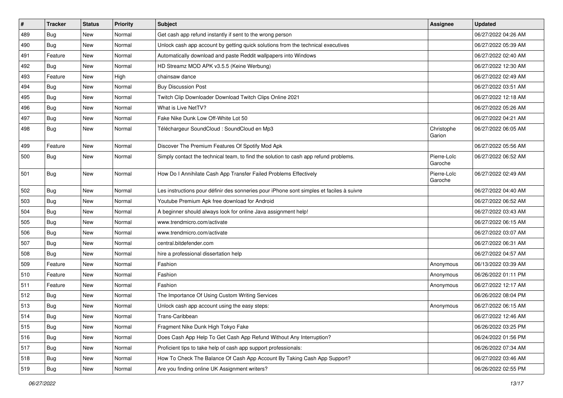| $\sharp$ | <b>Tracker</b> | <b>Status</b> | <b>Priority</b> | <b>Subject</b>                                                                           | <b>Assignee</b>        | <b>Updated</b>      |
|----------|----------------|---------------|-----------------|------------------------------------------------------------------------------------------|------------------------|---------------------|
| 489      | Bug            | New           | Normal          | Get cash app refund instantly if sent to the wrong person                                |                        | 06/27/2022 04:26 AM |
| 490      | <b>Bug</b>     | New           | Normal          | Unlock cash app account by getting quick solutions from the technical executives         |                        | 06/27/2022 05:39 AM |
| 491      | Feature        | New           | Normal          | Automatically download and paste Reddit wallpapers into Windows                          |                        | 06/27/2022 02:40 AM |
| 492      | <b>Bug</b>     | New           | Normal          | HD Streamz MOD APK v3.5.5 (Keine Werbung)                                                |                        | 06/27/2022 12:30 AM |
| 493      | Feature        | New           | High            | chainsaw dance                                                                           |                        | 06/27/2022 02:49 AM |
| 494      | <b>Bug</b>     | New           | Normal          | <b>Buy Discussion Post</b>                                                               |                        | 06/27/2022 03:51 AM |
| 495      | <b>Bug</b>     | New           | Normal          | Twitch Clip Downloader Download Twitch Clips Online 2021                                 |                        | 06/27/2022 12:18 AM |
| 496      | Bug            | New           | Normal          | What is Live NetTV?                                                                      |                        | 06/27/2022 05:26 AM |
| 497      | <b>Bug</b>     | New           | Normal          | Fake Nike Dunk Low Off-White Lot 50                                                      |                        | 06/27/2022 04:21 AM |
| 498      | <b>Bug</b>     | New           | Normal          | Téléchargeur SoundCloud : SoundCloud en Mp3                                              | Christophe<br>Garion   | 06/27/2022 06:05 AM |
| 499      | Feature        | New           | Normal          | Discover The Premium Features Of Spotify Mod Apk                                         |                        | 06/27/2022 05:56 AM |
| 500      | <b>Bug</b>     | New           | Normal          | Simply contact the technical team, to find the solution to cash app refund problems.     | Pierre-Loïc<br>Garoche | 06/27/2022 06:52 AM |
| 501      | <b>Bug</b>     | New           | Normal          | How Do I Annihilate Cash App Transfer Failed Problems Effectively                        | Pierre-Loïc<br>Garoche | 06/27/2022 02:49 AM |
| 502      | <b>Bug</b>     | New           | Normal          | Les instructions pour définir des sonneries pour iPhone sont simples et faciles à suivre |                        | 06/27/2022 04:40 AM |
| 503      | <b>Bug</b>     | New           | Normal          | Youtube Premium Apk free download for Android                                            |                        | 06/27/2022 06:52 AM |
| 504      | <b>Bug</b>     | New           | Normal          | A beginner should always look for online Java assignment help!                           |                        | 06/27/2022 03:43 AM |
| 505      | Bug            | New           | Normal          | www.trendmicro.com/activate                                                              |                        | 06/27/2022 06:15 AM |
| 506      | Bug            | New           | Normal          | www.trendmicro.com/activate                                                              |                        | 06/27/2022 03:07 AM |
| 507      | <b>Bug</b>     | New           | Normal          | central.bitdefender.com                                                                  |                        | 06/27/2022 06:31 AM |
| 508      | <b>Bug</b>     | New           | Normal          | hire a professional dissertation help                                                    |                        | 06/27/2022 04:57 AM |
| 509      | Feature        | New           | Normal          | Fashion                                                                                  | Anonymous              | 06/13/2022 03:39 AM |
| 510      | Feature        | New           | Normal          | Fashion                                                                                  | Anonymous              | 06/26/2022 01:11 PM |
| 511      | Feature        | New           | Normal          | Fashion                                                                                  | Anonymous              | 06/27/2022 12:17 AM |
| 512      | Bug            | New           | Normal          | The Importance Of Using Custom Writing Services                                          |                        | 06/26/2022 08:04 PM |
| 513      | Bug            | New           | Normal          | Unlock cash app account using the easy steps:                                            | Anonymous              | 06/27/2022 06:15 AM |
| 514      | Bug            | New           | Normal          | Trans-Caribbean                                                                          |                        | 06/27/2022 12:46 AM |
| 515      | <b>Bug</b>     | New           | Normal          | Fragment Nike Dunk High Tokyo Fake                                                       |                        | 06/26/2022 03:25 PM |
| 516      | <b>Bug</b>     | New           | Normal          | Does Cash App Help To Get Cash App Refund Without Any Interruption?                      |                        | 06/24/2022 01:56 PM |
| 517      | <b>Bug</b>     | New           | Normal          | Proficient tips to take help of cash app support professionals:                          |                        | 06/26/2022 07:34 AM |
| 518      | Bug            | New           | Normal          | How To Check The Balance Of Cash App Account By Taking Cash App Support?                 |                        | 06/27/2022 03:46 AM |
| 519      | Bug            | New           | Normal          | Are you finding online UK Assignment writers?                                            |                        | 06/26/2022 02:55 PM |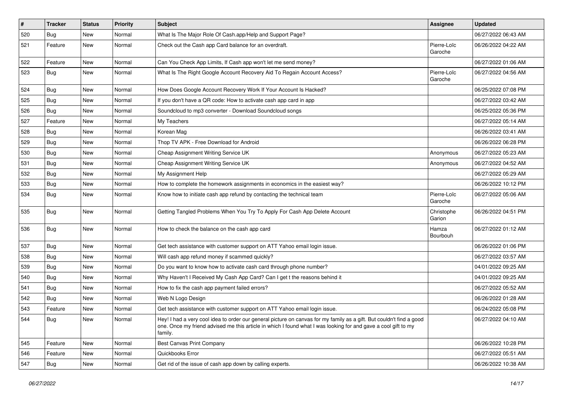| #   | <b>Tracker</b> | <b>Status</b> | <b>Priority</b> | <b>Subject</b>                                                                                                                                                                                                                                    | <b>Assignee</b>        | <b>Updated</b>      |
|-----|----------------|---------------|-----------------|---------------------------------------------------------------------------------------------------------------------------------------------------------------------------------------------------------------------------------------------------|------------------------|---------------------|
| 520 | <b>Bug</b>     | New           | Normal          | What Is The Major Role Of Cash.app/Help and Support Page?                                                                                                                                                                                         |                        | 06/27/2022 06:43 AM |
| 521 | Feature        | New           | Normal          | Check out the Cash app Card balance for an overdraft.                                                                                                                                                                                             | Pierre-Loïc<br>Garoche | 06/26/2022 04:22 AM |
| 522 | Feature        | New           | Normal          | Can You Check App Limits, If Cash app won't let me send money?                                                                                                                                                                                    |                        | 06/27/2022 01:06 AM |
| 523 | <b>Bug</b>     | New           | Normal          | What Is The Right Google Account Recovery Aid To Regain Account Access?                                                                                                                                                                           | Pierre-Loïc<br>Garoche | 06/27/2022 04:56 AM |
| 524 | <b>Bug</b>     | New           | Normal          | How Does Google Account Recovery Work If Your Account Is Hacked?                                                                                                                                                                                  |                        | 06/25/2022 07:08 PM |
| 525 | <b>Bug</b>     | New           | Normal          | If you don't have a QR code: How to activate cash app card in app                                                                                                                                                                                 |                        | 06/27/2022 03:42 AM |
| 526 | <b>Bug</b>     | New           | Normal          | Soundcloud to mp3 converter - Download Soundcloud songs                                                                                                                                                                                           |                        | 06/25/2022 05:36 PM |
| 527 | Feature        | New           | Normal          | My Teachers                                                                                                                                                                                                                                       |                        | 06/27/2022 05:14 AM |
| 528 | <b>Bug</b>     | New           | Normal          | Korean Mag                                                                                                                                                                                                                                        |                        | 06/26/2022 03:41 AM |
| 529 | Bug            | New           | Normal          | Thop TV APK - Free Download for Android                                                                                                                                                                                                           |                        | 06/26/2022 06:28 PM |
| 530 | Bug            | New           | Normal          | Cheap Assignment Writing Service UK                                                                                                                                                                                                               | Anonymous              | 06/27/2022 05:23 AM |
| 531 | <b>Bug</b>     | New           | Normal          | Cheap Assignment Writing Service UK                                                                                                                                                                                                               | Anonymous              | 06/27/2022 04:52 AM |
| 532 | <b>Bug</b>     | New           | Normal          | My Assignment Help                                                                                                                                                                                                                                |                        | 06/27/2022 05:29 AM |
| 533 | <b>Bug</b>     | New           | Normal          | How to complete the homework assignments in economics in the easiest way?                                                                                                                                                                         |                        | 06/26/2022 10:12 PM |
| 534 | <b>Bug</b>     | New           | Normal          | Know how to initiate cash app refund by contacting the technical team                                                                                                                                                                             | Pierre-Loïc<br>Garoche | 06/27/2022 05:06 AM |
| 535 | <b>Bug</b>     | New           | Normal          | Getting Tangled Problems When You Try To Apply For Cash App Delete Account                                                                                                                                                                        | Christophe<br>Garion   | 06/26/2022 04:51 PM |
| 536 | <b>Bug</b>     | New           | Normal          | How to check the balance on the cash app card                                                                                                                                                                                                     | Hamza<br>Bourbouh      | 06/27/2022 01:12 AM |
| 537 | <b>Bug</b>     | New           | Normal          | Get tech assistance with customer support on ATT Yahoo email login issue.                                                                                                                                                                         |                        | 06/26/2022 01:06 PM |
| 538 | Bug            | New           | Normal          | Will cash app refund money if scammed quickly?                                                                                                                                                                                                    |                        | 06/27/2022 03:57 AM |
| 539 | <b>Bug</b>     | New           | Normal          | Do you want to know how to activate cash card through phone number?                                                                                                                                                                               |                        | 04/01/2022 09:25 AM |
| 540 | <b>Bug</b>     | New           | Normal          | Why Haven't I Received My Cash App Card? Can I get t the reasons behind it                                                                                                                                                                        |                        | 04/01/2022 09:25 AM |
| 541 | <b>Bug</b>     | New           | Normal          | How to fix the cash app payment failed errors?                                                                                                                                                                                                    |                        | 06/27/2022 05:52 AM |
| 542 | <b>Bug</b>     | New           | Normal          | Web N Logo Design                                                                                                                                                                                                                                 |                        | 06/26/2022 01:28 AM |
| 543 | Feature        | New           | Normal          | Get tech assistance with customer support on ATT Yahoo email login issue.                                                                                                                                                                         |                        | 06/24/2022 05:08 PM |
| 544 | Bug            | New           | Normal          | Hey! I had a very cool idea to order our general picture on canvas for my family as a gift. But couldn't find a good<br>one. Once my friend advised me this article in which I found what I was looking for and gave a cool gift to my<br>family. |                        | 06/27/2022 04:10 AM |
| 545 | Feature        | New           | Normal          | <b>Best Canvas Print Company</b>                                                                                                                                                                                                                  |                        | 06/26/2022 10:28 PM |
| 546 | Feature        | New           | Normal          | Quickbooks Error                                                                                                                                                                                                                                  |                        | 06/27/2022 05:51 AM |
| 547 | <b>Bug</b>     | New           | Normal          | Get rid of the issue of cash app down by calling experts.                                                                                                                                                                                         |                        | 06/26/2022 10:38 AM |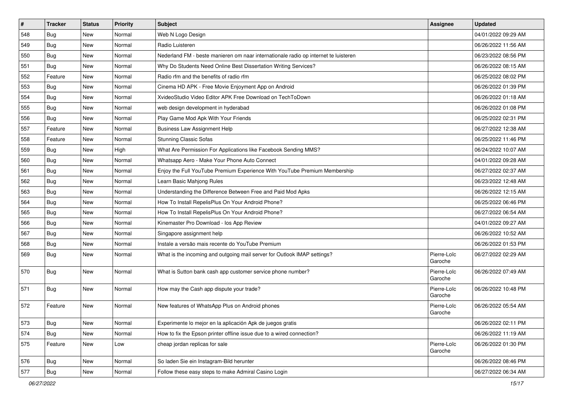| $\sharp$ | <b>Tracker</b> | <b>Status</b> | <b>Priority</b> | <b>Subject</b>                                                                      | <b>Assignee</b>        | <b>Updated</b>      |
|----------|----------------|---------------|-----------------|-------------------------------------------------------------------------------------|------------------------|---------------------|
| 548      | Bug            | New           | Normal          | Web N Logo Design                                                                   |                        | 04/01/2022 09:29 AM |
| 549      | <b>Bug</b>     | <b>New</b>    | Normal          | Radio Luisteren                                                                     |                        | 06/26/2022 11:56 AM |
| 550      | Bug            | New           | Normal          | Nederland FM - beste manieren om naar internationale radio op internet te luisteren |                        | 06/23/2022 08:56 PM |
| 551      | <b>Bug</b>     | New           | Normal          | Why Do Students Need Online Best Dissertation Writing Services?                     |                        | 06/26/2022 08:15 AM |
| 552      | Feature        | <b>New</b>    | Normal          | Radio rfm and the benefits of radio rfm                                             |                        | 06/25/2022 08:02 PM |
| 553      | Bug            | New           | Normal          | Cinema HD APK - Free Movie Enjoyment App on Android                                 |                        | 06/26/2022 01:39 PM |
| 554      | <b>Bug</b>     | <b>New</b>    | Normal          | XvideoStudio Video Editor APK Free Download on TechToDown                           |                        | 06/26/2022 01:18 AM |
| 555      | <b>Bug</b>     | New           | Normal          | web design development in hyderabad                                                 |                        | 06/26/2022 01:08 PM |
| 556      | <b>Bug</b>     | New           | Normal          | Play Game Mod Apk With Your Friends                                                 |                        | 06/25/2022 02:31 PM |
| 557      | Feature        | New           | Normal          | <b>Business Law Assignment Help</b>                                                 |                        | 06/27/2022 12:38 AM |
| 558      | Feature        | New           | Normal          | <b>Stunning Classic Sofas</b>                                                       |                        | 06/25/2022 11:46 PM |
| 559      | Bug            | New           | High            | What Are Permission For Applications like Facebook Sending MMS?                     |                        | 06/24/2022 10:07 AM |
| 560      | Bug            | New           | Normal          | Whatsapp Aero - Make Your Phone Auto Connect                                        |                        | 04/01/2022 09:28 AM |
| 561      | <b>Bug</b>     | <b>New</b>    | Normal          | Enjoy the Full YouTube Premium Experience With YouTube Premium Membership           |                        | 06/27/2022 02:37 AM |
| 562      | <b>Bug</b>     | <b>New</b>    | Normal          | Learn Basic Mahjong Rules                                                           |                        | 06/23/2022 12:48 AM |
| 563      | <b>Bug</b>     | New           | Normal          | Understanding the Difference Between Free and Paid Mod Apks                         |                        | 06/26/2022 12:15 AM |
| 564      | <b>Bug</b>     | New           | Normal          | How To Install RepelisPlus On Your Android Phone?                                   |                        | 06/25/2022 06:46 PM |
| 565      | Bug            | <b>New</b>    | Normal          | How To Install RepelisPlus On Your Android Phone?                                   |                        | 06/27/2022 06:54 AM |
| 566      | Bug            | New           | Normal          | Kinemaster Pro Download - los App Review                                            |                        | 04/01/2022 09:27 AM |
| 567      | <b>Bug</b>     | <b>New</b>    | Normal          | Singapore assignment help                                                           |                        | 06/26/2022 10:52 AM |
| 568      | <b>Bug</b>     | New           | Normal          | Instale a versão mais recente do YouTube Premium                                    |                        | 06/26/2022 01:53 PM |
| 569      | <b>Bug</b>     | New           | Normal          | What is the incoming and outgoing mail server for Outlook IMAP settings?            | Pierre-Loïc<br>Garoche | 06/27/2022 02:29 AM |
| 570      | <b>Bug</b>     | New           | Normal          | What is Sutton bank cash app customer service phone number?                         | Pierre-Loïc<br>Garoche | 06/26/2022 07:49 AM |
| 571      | <b>Bug</b>     | New           | Normal          | How may the Cash app dispute your trade?                                            | Pierre-Loïc<br>Garoche | 06/26/2022 10:48 PM |
| 572      | Feature        | New           | Normal          | New features of WhatsApp Plus on Android phones                                     | Pierre-Loïc<br>Garoche | 06/26/2022 05:54 AM |
| 573      | Bug            | New           | Normal          | Experimente lo mejor en la aplicación Apk de juegos gratis                          |                        | 06/26/2022 02:11 PM |
| 574      | <b>Bug</b>     | New           | Normal          | How to fix the Epson printer offline issue due to a wired connection?               |                        | 06/26/2022 11:19 AM |
| 575      | Feature        | New           | Low             | cheap jordan replicas for sale                                                      | Pierre-Loïc<br>Garoche | 06/26/2022 01:30 PM |
| 576      | Bug            | New           | Normal          | So laden Sie ein Instagram-Bild herunter                                            |                        | 06/26/2022 08:46 PM |
| 577      | Bug            | New           | Normal          | Follow these easy steps to make Admiral Casino Login                                |                        | 06/27/2022 06:34 AM |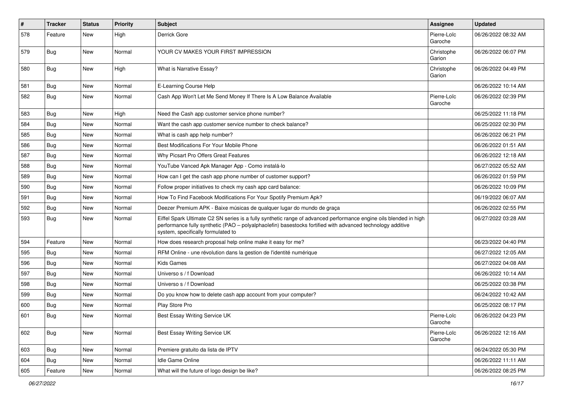| #   | <b>Tracker</b> | <b>Status</b> | <b>Priority</b> | <b>Subject</b>                                                                                                                                                                                                                                                        | <b>Assignee</b>        | <b>Updated</b>      |
|-----|----------------|---------------|-----------------|-----------------------------------------------------------------------------------------------------------------------------------------------------------------------------------------------------------------------------------------------------------------------|------------------------|---------------------|
| 578 | Feature        | New           | High            | Derrick Gore                                                                                                                                                                                                                                                          | Pierre-Loïc<br>Garoche | 06/26/2022 08:32 AM |
| 579 | Bug            | New           | Normal          | YOUR CV MAKES YOUR FIRST IMPRESSION                                                                                                                                                                                                                                   | Christophe<br>Garion   | 06/26/2022 06:07 PM |
| 580 | <b>Bug</b>     | New           | High            | What is Narrative Essay?                                                                                                                                                                                                                                              | Christophe<br>Garion   | 06/26/2022 04:49 PM |
| 581 | <b>Bug</b>     | New           | Normal          | E-Learning Course Help                                                                                                                                                                                                                                                |                        | 06/26/2022 10:14 AM |
| 582 | <b>Bug</b>     | <b>New</b>    | Normal          | Cash App Won't Let Me Send Money If There Is A Low Balance Available                                                                                                                                                                                                  | Pierre-Loïc<br>Garoche | 06/26/2022 02:39 PM |
| 583 | <b>Bug</b>     | New           | High            | Need the Cash app customer service phone number?                                                                                                                                                                                                                      |                        | 06/25/2022 11:18 PM |
| 584 | Bug            | New           | Normal          | Want the cash app customer service number to check balance?                                                                                                                                                                                                           |                        | 06/25/2022 02:30 PM |
| 585 | <b>Bug</b>     | New           | Normal          | What is cash app help number?                                                                                                                                                                                                                                         |                        | 06/26/2022 06:21 PM |
| 586 | Bug            | New           | Normal          | Best Modifications For Your Mobile Phone                                                                                                                                                                                                                              |                        | 06/26/2022 01:51 AM |
| 587 | <b>Bug</b>     | New           | Normal          | Why Picsart Pro Offers Great Features                                                                                                                                                                                                                                 |                        | 06/26/2022 12:18 AM |
| 588 | <b>Bug</b>     | New           | Normal          | YouTube Vanced Apk Manager App - Como instalá-lo                                                                                                                                                                                                                      |                        | 06/27/2022 05:52 AM |
| 589 | Bug            | New           | Normal          | How can I get the cash app phone number of customer support?                                                                                                                                                                                                          |                        | 06/26/2022 01:59 PM |
| 590 | <b>Bug</b>     | New           | Normal          | Follow proper initiatives to check my cash app card balance:                                                                                                                                                                                                          |                        | 06/26/2022 10:09 PM |
| 591 | <b>Bug</b>     | New           | Normal          | How To Find Facebook Modifications For Your Spotify Premium Apk?                                                                                                                                                                                                      |                        | 06/19/2022 06:07 AM |
| 592 | <b>Bug</b>     | New           | Normal          | Deezer Premium APK - Baixe músicas de qualquer lugar do mundo de graça                                                                                                                                                                                                |                        | 06/26/2022 02:55 PM |
| 593 | <b>Bug</b>     | New           | Normal          | Eiffel Spark Ultimate C2 SN series is a fully synthetic range of advanced performance engine oils blended in high<br>performance fully synthetic (PAO - polyalphaolefin) basestocks fortified with advanced technology additive<br>system, specifically formulated to |                        | 06/27/2022 03:28 AM |
| 594 | Feature        | New           | Normal          | How does research proposal help online make it easy for me?                                                                                                                                                                                                           |                        | 06/23/2022 04:40 PM |
| 595 | <b>Bug</b>     | New           | Normal          | RFM Online - une révolution dans la gestion de l'identité numérique                                                                                                                                                                                                   |                        | 06/27/2022 12:05 AM |
| 596 | <b>Bug</b>     | New           | Normal          | <b>Kids Games</b>                                                                                                                                                                                                                                                     |                        | 06/27/2022 04:08 AM |
| 597 | <b>Bug</b>     | New           | Normal          | Universo s / f Download                                                                                                                                                                                                                                               |                        | 06/26/2022 10:14 AM |
| 598 | <b>Bug</b>     | New           | Normal          | Universo s / f Download                                                                                                                                                                                                                                               |                        | 06/25/2022 03:38 PM |
| 599 | <b>Bug</b>     | New           | Normal          | Do you know how to delete cash app account from your computer?                                                                                                                                                                                                        |                        | 06/24/2022 10:42 AM |
| 600 | <b>Bug</b>     | New           | Normal          | Play Store Pro                                                                                                                                                                                                                                                        |                        | 06/25/2022 08:17 PM |
| 601 | Bug            | New           | Normal          | Best Essay Writing Service UK                                                                                                                                                                                                                                         | Pierre-Loïc<br>Garoche | 06/26/2022 04:23 PM |
| 602 | <b>Bug</b>     | New           | Normal          | Best Essay Writing Service UK                                                                                                                                                                                                                                         | Pierre-Loïc<br>Garoche | 06/26/2022 12:16 AM |
| 603 | Bug            | New           | Normal          | Premiere gratuito da lista de IPTV                                                                                                                                                                                                                                    |                        | 06/24/2022 05:30 PM |
| 604 | Bug            | New           | Normal          | Idle Game Online                                                                                                                                                                                                                                                      |                        | 06/26/2022 11:11 AM |
| 605 | Feature        | New           | Normal          | What will the future of logo design be like?                                                                                                                                                                                                                          |                        | 06/26/2022 08:25 PM |